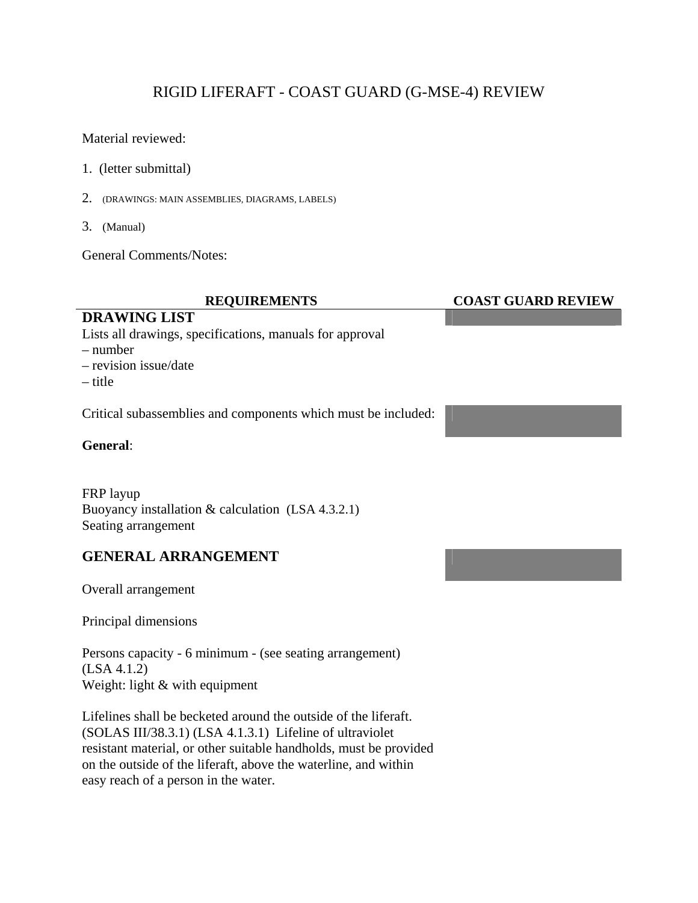# RIGID LIFERAFT - COAST GUARD (G-MSE-4) REVIEW

Material reviewed:

- 1. (letter submittal)
- 2. (DRAWINGS: MAIN ASSEMBLIES, DIAGRAMS, LABELS)
- 3. (Manual)

General Comments/Notes:

### **DRAWING LIST**

Lists all drawings, specifications, manuals for approval

– number

– revision issue/date

– title

Critical subassemblies and components which must be included:

**General**:

FRP layup Buoyancy installation & calculation (LSA 4.3.2.1) Seating arrangement

## **GENERAL ARRANGEMENT**

Overall arrangement

Principal dimensions

Persons capacity - 6 minimum - (see seating arrangement) (LSA 4.1.2) Weight: light & with equipment

Lifelines shall be becketed around the outside of the liferaft. (SOLAS III/38.3.1) (LSA 4.1.3.1) Lifeline of ultraviolet resistant material, or other suitable handholds, must be provided on the outside of the liferaft, above the waterline, and within easy reach of a person in the water.

### **REQUIREMENTS COAST GUARD REVIEW**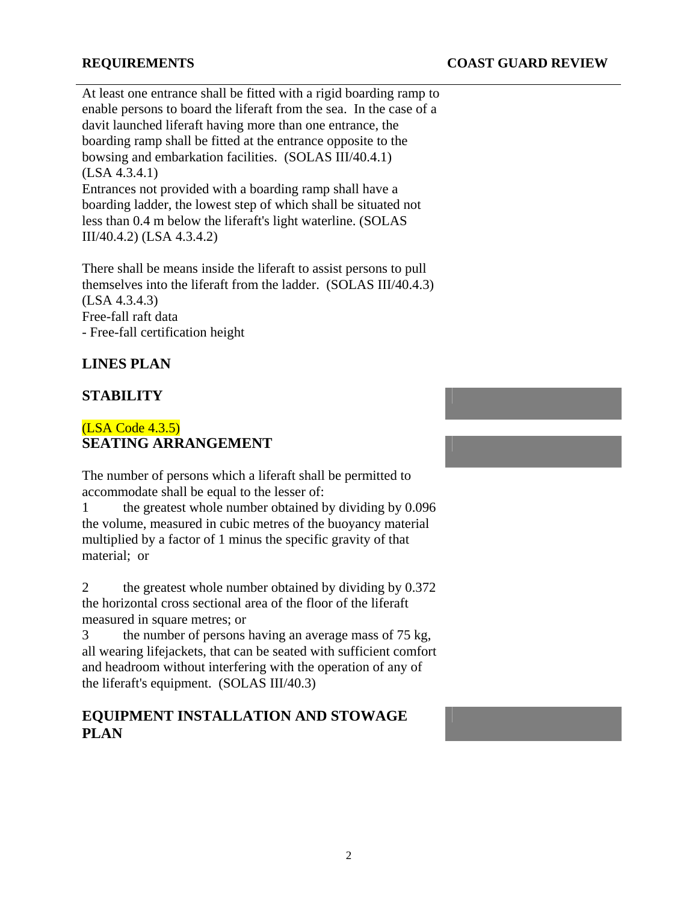At least one entrance shall be fitted with a rigid boarding ramp to enable persons to board the liferaft from the sea. In the case of a davit launched liferaft having more than one entrance, the boarding ramp shall be fitted at the entrance opposite to the bowsing and embarkation facilities. (SOLAS III/40.4.1) (LSA 4.3.4.1) Entrances not provided with a boarding ramp shall have a boarding ladder, the lowest step of which shall be situated not less than 0.4 m below the liferaft's light waterline. (SOLAS III/40.4.2) (LSA 4.3.4.2)

There shall be means inside the liferaft to assist persons to pull themselves into the liferaft from the ladder. (SOLAS III/40.4.3) (LSA 4.3.4.3) Free-fall raft data - Free-fall certification height

### **LINES PLAN**

### **STABILITY**

### (LSA Code 4.3.5) **SEATING ARRANGEMENT**

The number of persons which a liferaft shall be permitted to accommodate shall be equal to the lesser of:

1 the greatest whole number obtained by dividing by 0.096 the volume, measured in cubic metres of the buoyancy material multiplied by a factor of 1 minus the specific gravity of that material; or

2 the greatest whole number obtained by dividing by 0.372 the horizontal cross sectional area of the floor of the liferaft measured in square metres; or

3 the number of persons having an average mass of 75 kg, all wearing lifejackets, that can be seated with sufficient comfort and headroom without interfering with the operation of any of the liferaft's equipment. (SOLAS III/40.3)

### **EQUIPMENT INSTALLATION AND STOWAGE PLAN**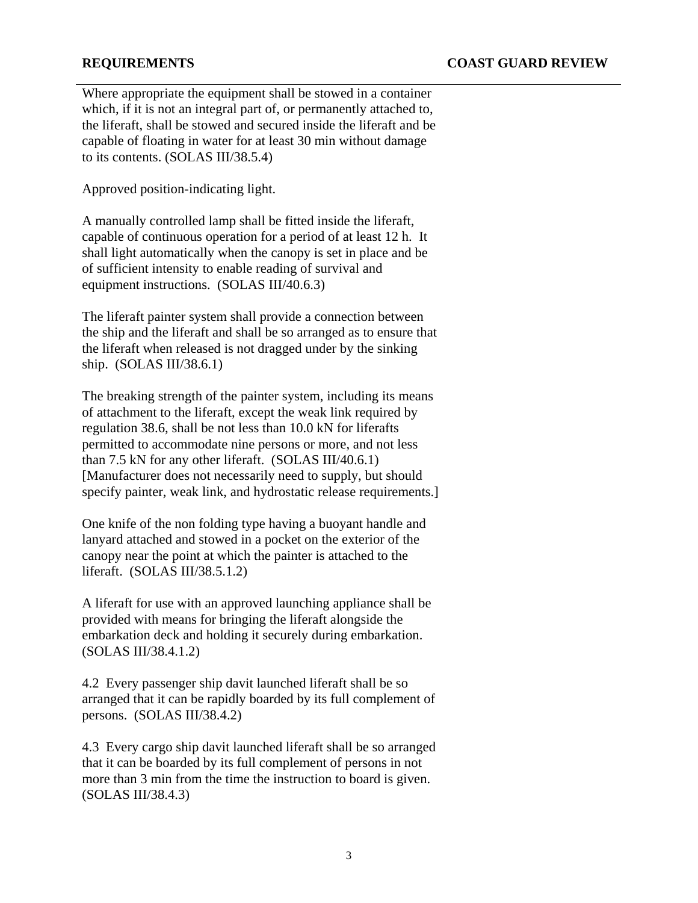Where appropriate the equipment shall be stowed in a container which, if it is not an integral part of, or permanently attached to, the liferaft, shall be stowed and secured inside the liferaft and be capable of floating in water for at least 30 min without damage to its contents. (SOLAS III/38.5.4)

Approved position-indicating light.

A manually controlled lamp shall be fitted inside the liferaft, capable of continuous operation for a period of at least 12 h. It shall light automatically when the canopy is set in place and be of sufficient intensity to enable reading of survival and equipment instructions. (SOLAS III/40.6.3)

The liferaft painter system shall provide a connection between the ship and the liferaft and shall be so arranged as to ensure that the liferaft when released is not dragged under by the sinking ship. (SOLAS III/38.6.1)

The breaking strength of the painter system, including its means of attachment to the liferaft, except the weak link required by regulation 38.6, shall be not less than 10.0 kN for liferafts permitted to accommodate nine persons or more, and not less than 7.5 kN for any other liferaft. (SOLAS III/40.6.1) [Manufacturer does not necessarily need to supply, but should specify painter, weak link, and hydrostatic release requirements.]

One knife of the non folding type having a buoyant handle and lanyard attached and stowed in a pocket on the exterior of the canopy near the point at which the painter is attached to the liferaft. (SOLAS III/38.5.1.2)

A liferaft for use with an approved launching appliance shall be provided with means for bringing the liferaft alongside the embarkation deck and holding it securely during embarkation. (SOLAS III/38.4.1.2)

4.2 Every passenger ship davit launched liferaft shall be so arranged that it can be rapidly boarded by its full complement of persons. (SOLAS III/38.4.2)

4.3 Every cargo ship davit launched liferaft shall be so arranged that it can be boarded by its full complement of persons in not more than 3 min from the time the instruction to board is given. (SOLAS III/38.4.3)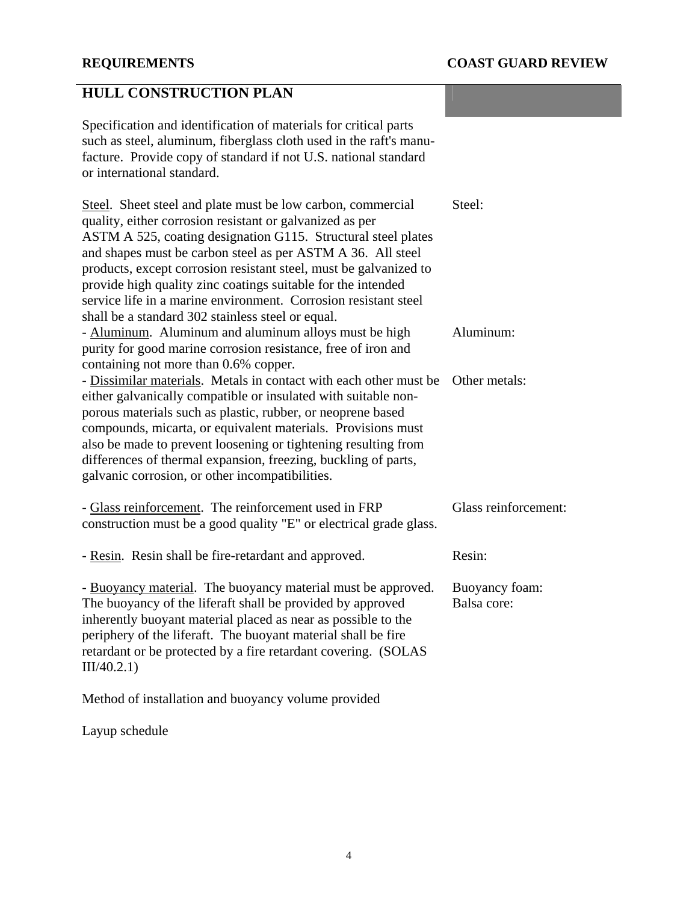# **HULL CONSTRUCTION PLAN**

Specification and identification of materials for critical parts such as steel, aluminum, fiberglass cloth used in the raft's manufacture. Provide copy of standard if not U.S. national standard or international standard.

| Steel. Sheet steel and plate must be low carbon, commercial<br>quality, either corrosion resistant or galvanized as per<br>ASTM A 525, coating designation G115. Structural steel plates<br>and shapes must be carbon steel as per ASTM A 36. All steel<br>products, except corrosion resistant steel, must be galvanized to<br>provide high quality zinc coatings suitable for the intended<br>service life in a marine environment. Corrosion resistant steel<br>shall be a standard 302 stainless steel or equal. | Steel:                        |
|----------------------------------------------------------------------------------------------------------------------------------------------------------------------------------------------------------------------------------------------------------------------------------------------------------------------------------------------------------------------------------------------------------------------------------------------------------------------------------------------------------------------|-------------------------------|
| - Aluminum. Aluminum and aluminum alloys must be high<br>purity for good marine corrosion resistance, free of iron and<br>containing not more than 0.6% copper.                                                                                                                                                                                                                                                                                                                                                      | Aluminum:                     |
| - Dissimilar materials. Metals in contact with each other must be<br>either galvanically compatible or insulated with suitable non-<br>porous materials such as plastic, rubber, or neoprene based<br>compounds, micarta, or equivalent materials. Provisions must<br>also be made to prevent loosening or tightening resulting from<br>differences of thermal expansion, freezing, buckling of parts,<br>galvanic corrosion, or other incompatibilities.                                                            | Other metals:                 |
| - Glass reinforcement. The reinforcement used in FRP<br>construction must be a good quality "E" or electrical grade glass.                                                                                                                                                                                                                                                                                                                                                                                           | Glass reinforcement:          |
| - Resin. Resin shall be fire-retardant and approved.                                                                                                                                                                                                                                                                                                                                                                                                                                                                 | Resin:                        |
| - Buoyancy material. The buoyancy material must be approved.<br>The buoyancy of the liferaft shall be provided by approved<br>inherently buoyant material placed as near as possible to the<br>periphery of the liferaft. The buoyant material shall be fire<br>retardant or be protected by a fire retardant covering. (SOLAS<br>III/40.2.1)                                                                                                                                                                        | Buoyancy foam:<br>Balsa core: |
| Method of installation and buoyancy volume provided                                                                                                                                                                                                                                                                                                                                                                                                                                                                  |                               |

Layup schedule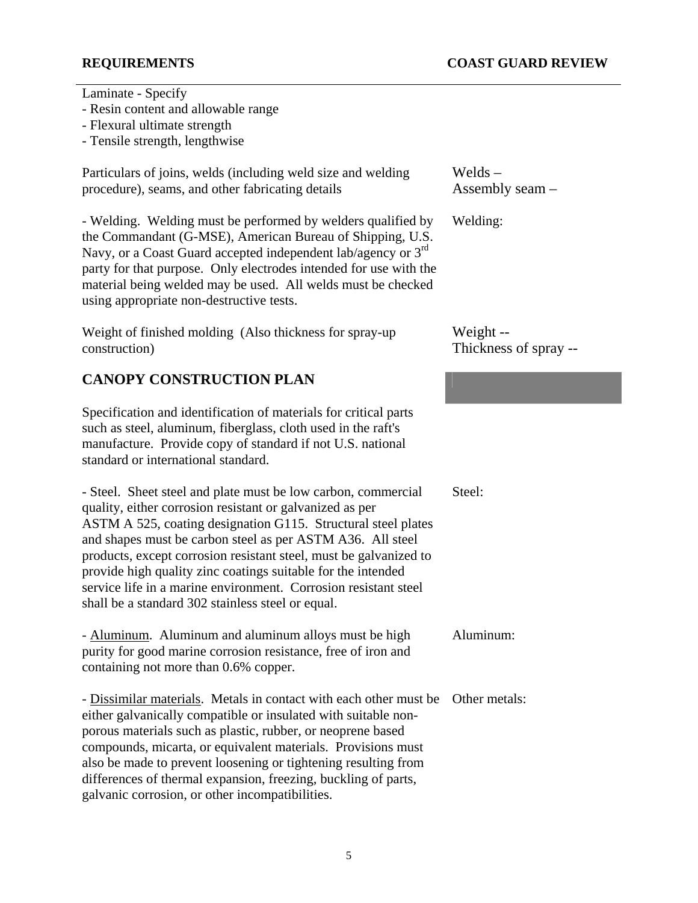Laminate - Specify

- Resin content and allowable range
- Flexural ultimate strength
- Tensile strength, lengthwise

Particulars of joins, welds (including weld size and welding procedure), seams, and other fabricating details

- Welding. Welding must be performed by welders qualified by the Commandant (G-MSE), American Bureau of Shipping, U.S. Navy, or a Coast Guard accepted independent lab/agency or 3<sup>rd</sup> party for that purpose. Only electrodes intended for use with the material being welded may be used. All welds must be checked using appropriate non-destructive tests.

Weight of finished molding (Also thickness for spray-up construction)

## **CANOPY CONSTRUCTION PLAN**

Specification and identification of materials for critical parts such as steel, aluminum, fiberglass, cloth used in the raft's manufacture. Provide copy of standard if not U.S. national standard or international standard.

- Steel. Sheet steel and plate must be low carbon, commercial quality, either corrosion resistant or galvanized as per ASTM A 525, coating designation G115. Structural steel plates and shapes must be carbon steel as per ASTM A36. All steel products, except corrosion resistant steel, must be galvanized to provide high quality zinc coatings suitable for the intended service life in a marine environment. Corrosion resistant steel shall be a standard 302 stainless steel or equal.

- Aluminum. Aluminum and aluminum alloys must be high purity for good marine corrosion resistance, free of iron and containing not more than 0.6% copper.

- Dissimilar materials. Metals in contact with each other must be Other metals: either galvanically compatible or insulated with suitable nonporous materials such as plastic, rubber, or neoprene based compounds, micarta, or equivalent materials. Provisions must also be made to prevent loosening or tightening resulting from differences of thermal expansion, freezing, buckling of parts, galvanic corrosion, or other incompatibilities.

Welds – Assembly seam –

Welding:

Weight -- Thickness of spray --

Steel:

Aluminum: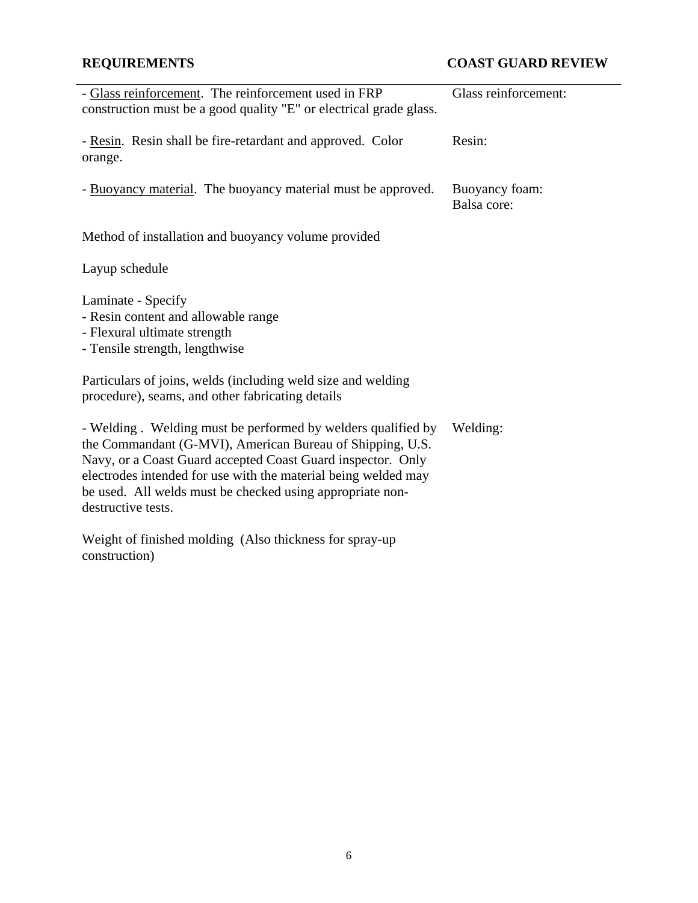# **REQUIREMENTS COAST GUARD REVIEW**

| - Glass reinforcement. The reinforcement used in FRP<br>construction must be a good quality "E" or electrical grade glass.                                                                                                                                                                                                                    | Glass reinforcement:          |
|-----------------------------------------------------------------------------------------------------------------------------------------------------------------------------------------------------------------------------------------------------------------------------------------------------------------------------------------------|-------------------------------|
| - Resin. Resin shall be fire-retardant and approved. Color<br>orange.                                                                                                                                                                                                                                                                         | Resin:                        |
| - Buoyancy material. The buoyancy material must be approved.                                                                                                                                                                                                                                                                                  | Buoyancy foam:<br>Balsa core: |
| Method of installation and buoyancy volume provided                                                                                                                                                                                                                                                                                           |                               |
| Layup schedule                                                                                                                                                                                                                                                                                                                                |                               |
| Laminate - Specify<br>- Resin content and allowable range<br>- Flexural ultimate strength<br>- Tensile strength, lengthwise                                                                                                                                                                                                                   |                               |
| Particulars of joins, welds (including weld size and welding<br>procedure), seams, and other fabricating details                                                                                                                                                                                                                              |                               |
| - Welding. Welding must be performed by welders qualified by<br>the Commandant (G-MVI), American Bureau of Shipping, U.S.<br>Navy, or a Coast Guard accepted Coast Guard inspector. Only<br>electrodes intended for use with the material being welded may<br>be used. All welds must be checked using appropriate non-<br>destructive tests. | Welding:                      |
| Weight of finished molding (Also thickness for spray-up                                                                                                                                                                                                                                                                                       |                               |

construction)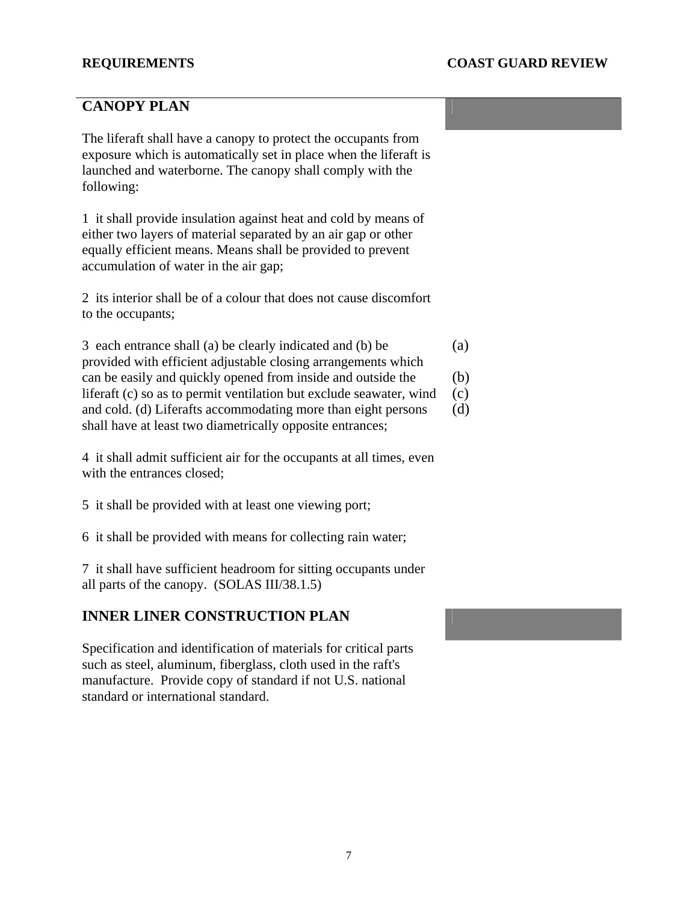## **CANOPY PLAN**

The liferaft shall have a canopy to protect the occupants from exposure which is automatically set in place when the liferaft is launched and waterborne. The canopy shall comply with the following:

1 it shall provide insulation against heat and cold by means of either two layers of material separated by an air gap or other equally efficient means. Means shall be provided to prevent accumulation of water in the air gap;

2 its interior shall be of a colour that does not cause discomfort to the occupants;

3 each entrance shall (a) be clearly indicated and (b) be provided with efficient adjustable closing arrangements which can be easily and quickly opened from inside and outside the liferaft (c) so as to permit ventilation but exclude seawater, wind and cold. (d) Liferafts accommodating more than eight persons shall have at least two diametrically opposite entrances; (a) (b) (c) (d)

4 it shall admit sufficient air for the occupants at all times, even with the entrances closed;

5 it shall be provided with at least one viewing port;

6 it shall be provided with means for collecting rain water;

7 it shall have sufficient headroom for sitting occupants under all parts of the canopy. (SOLAS III/38.1.5)

### **INNER LINER CONSTRUCTION PLAN**

Specification and identification of materials for critical parts such as steel, aluminum, fiberglass, cloth used in the raft's manufacture. Provide copy of standard if not U.S. national standard or international standard.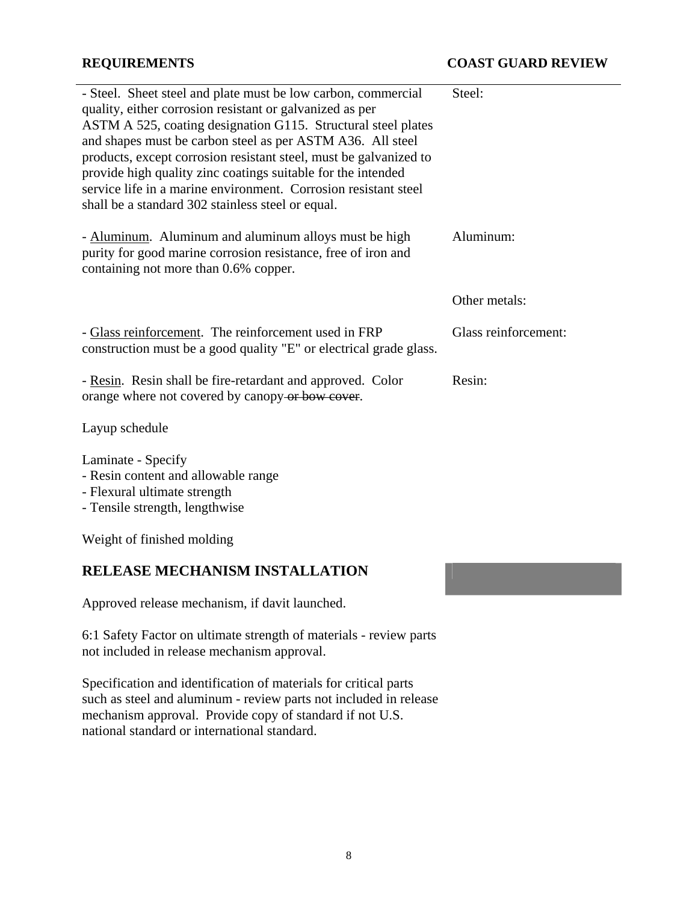| - Steel. Sheet steel and plate must be low carbon, commercial<br>quality, either corrosion resistant or galvanized as per<br>ASTM A 525, coating designation G115. Structural steel plates<br>and shapes must be carbon steel as per ASTM A36. All steel<br>products, except corrosion resistant steel, must be galvanized to<br>provide high quality zinc coatings suitable for the intended<br>service life in a marine environment. Corrosion resistant steel<br>shall be a standard 302 stainless steel or equal. | Steel:               |
|-----------------------------------------------------------------------------------------------------------------------------------------------------------------------------------------------------------------------------------------------------------------------------------------------------------------------------------------------------------------------------------------------------------------------------------------------------------------------------------------------------------------------|----------------------|
| - Aluminum. Aluminum and aluminum alloys must be high<br>purity for good marine corrosion resistance, free of iron and<br>containing not more than 0.6% copper.                                                                                                                                                                                                                                                                                                                                                       | Aluminum:            |
|                                                                                                                                                                                                                                                                                                                                                                                                                                                                                                                       | Other metals:        |
| - Glass reinforcement. The reinforcement used in FRP<br>construction must be a good quality "E" or electrical grade glass.                                                                                                                                                                                                                                                                                                                                                                                            | Glass reinforcement: |
| - Resin. Resin shall be fire-retardant and approved. Color<br>orange where not covered by canopy or bow cover.                                                                                                                                                                                                                                                                                                                                                                                                        | Resin:               |
| Layup schedule                                                                                                                                                                                                                                                                                                                                                                                                                                                                                                        |                      |
| Laminate - Specify<br>- Resin content and allowable range                                                                                                                                                                                                                                                                                                                                                                                                                                                             |                      |

- Flexural ultimate strength
- Tensile strength, lengthwise

Weight of finished molding

## **RELEASE MECHANISM INSTALLATION**

Approved release mechanism, if davit launched.

6:1 Safety Factor on ultimate strength of materials - review parts not included in release mechanism approval.

Specification and identification of materials for critical parts such as steel and aluminum - review parts not included in release mechanism approval. Provide copy of standard if not U.S. national standard or international standard.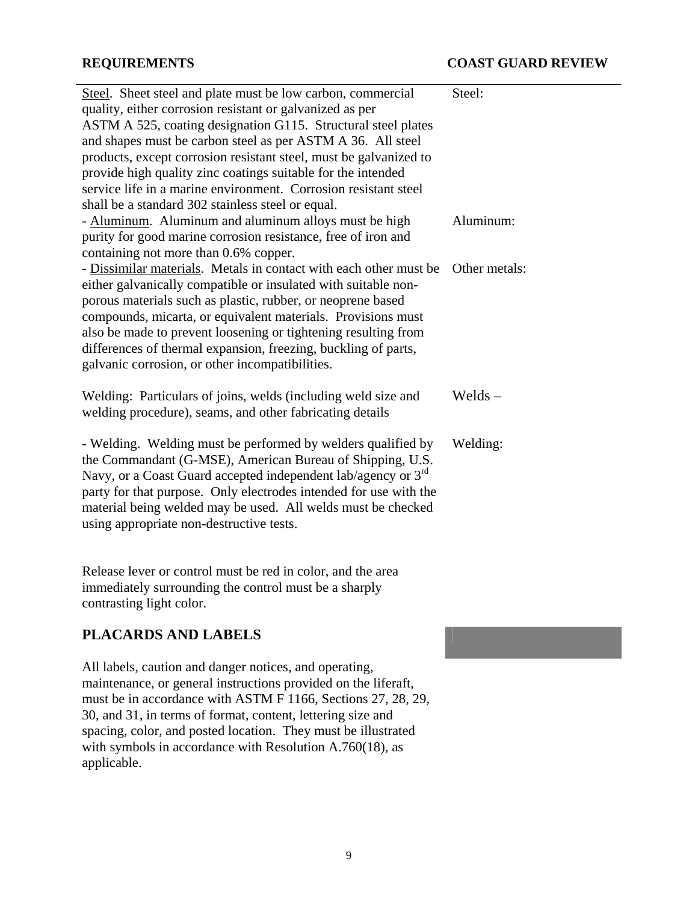| Steel. Sheet steel and plate must be low carbon, commercial<br>quality, either corrosion resistant or galvanized as per<br>ASTM A 525, coating designation G115. Structural steel plates<br>and shapes must be carbon steel as per ASTM A 36. All steel<br>products, except corrosion resistant steel, must be galvanized to<br>provide high quality zinc coatings suitable for the intended<br>service life in a marine environment. Corrosion resistant steel<br>shall be a standard 302 stainless steel or equal. | Steel:        |
|----------------------------------------------------------------------------------------------------------------------------------------------------------------------------------------------------------------------------------------------------------------------------------------------------------------------------------------------------------------------------------------------------------------------------------------------------------------------------------------------------------------------|---------------|
| - Aluminum. Aluminum and aluminum alloys must be high<br>purity for good marine corrosion resistance, free of iron and<br>containing not more than 0.6% copper.                                                                                                                                                                                                                                                                                                                                                      | Aluminum:     |
| - Dissimilar materials. Metals in contact with each other must be<br>either galvanically compatible or insulated with suitable non-<br>porous materials such as plastic, rubber, or neoprene based<br>compounds, micarta, or equivalent materials. Provisions must<br>also be made to prevent loosening or tightening resulting from<br>differences of thermal expansion, freezing, buckling of parts,<br>galvanic corrosion, or other incompatibilities.                                                            | Other metals: |
| Welding: Particulars of joins, welds (including weld size and<br>welding procedure), seams, and other fabricating details                                                                                                                                                                                                                                                                                                                                                                                            | Welds $-$     |
| - Welding. Welding must be performed by welders qualified by<br>the Commandant (G-MSE), American Bureau of Shipping, U.S.<br>Navy, or a Coast Guard accepted independent lab/agency or $3rd$<br>party for that purpose. Only electrodes intended for use with the<br>material being welded may be used. All welds must be checked<br>using appropriate non-destructive tests.                                                                                                                                        | Welding:      |
| Release lever or control must be red in color, and the area<br>immediately surrounding the control must be a sharply<br>contrasting light color.                                                                                                                                                                                                                                                                                                                                                                     |               |

## **PLACARDS AND LABELS**

All labels, caution and danger notices, and operating, maintenance, or general instructions provided on the liferaft, must be in accordance with ASTM F 1166, Sections 27, 28, 29, 30, and 31, in terms of format, content, lettering size and spacing, color, and posted location. They must be illustrated with symbols in accordance with Resolution A.760(18), as applicable.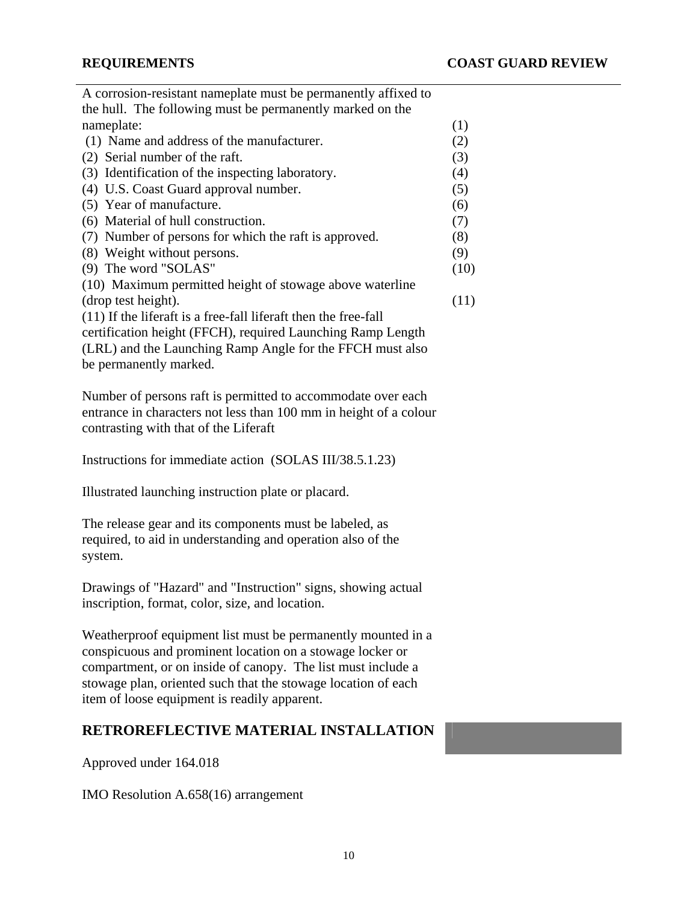| A corrosion-resistant nameplate must be permanently affixed to  |      |
|-----------------------------------------------------------------|------|
| the hull. The following must be permanently marked on the       |      |
| nameplate:                                                      | (1)  |
| (1) Name and address of the manufacturer.                       | (2)  |
| (2) Serial number of the raft.                                  | (3)  |
| (3) Identification of the inspecting laboratory.                | (4)  |
| (4) U.S. Coast Guard approval number.                           | (5)  |
| (5) Year of manufacture.                                        | (6)  |
| (6) Material of hull construction.                              | (7)  |
| (7) Number of persons for which the raft is approved.           | (8)  |
| (8) Weight without persons.                                     | (9)  |
| (9) The word "SOLAS"                                            | (10) |
| (10) Maximum permitted height of stowage above waterline        |      |
| (drop test height).                                             | (11) |
| (11) If the liferaft is a free-fall liferaft then the free-fall |      |
| certification height (FFCH), required Launching Ramp Length     |      |
| (LRL) and the Launching Ramp Angle for the FFCH must also       |      |
| be permanently marked.                                          |      |

Number of persons raft is permitted to accommodate over each entrance in characters not less than 100 mm in height of a colour contrasting with that of the Liferaft

Instructions for immediate action (SOLAS III/38.5.1.23)

Illustrated launching instruction plate or placard.

The release gear and its components must be labeled, as required, to aid in understanding and operation also of the system.

Drawings of "Hazard" and "Instruction" signs, showing actual inscription, format, color, size, and location.

Weatherproof equipment list must be permanently mounted in a conspicuous and prominent location on a stowage locker or compartment, or on inside of canopy. The list must include a stowage plan, oriented such that the stowage location of each item of loose equipment is readily apparent.

## **RETROREFLECTIVE MATERIAL INSTALLATION**

Approved under 164.018

IMO Resolution A.658(16) arrangement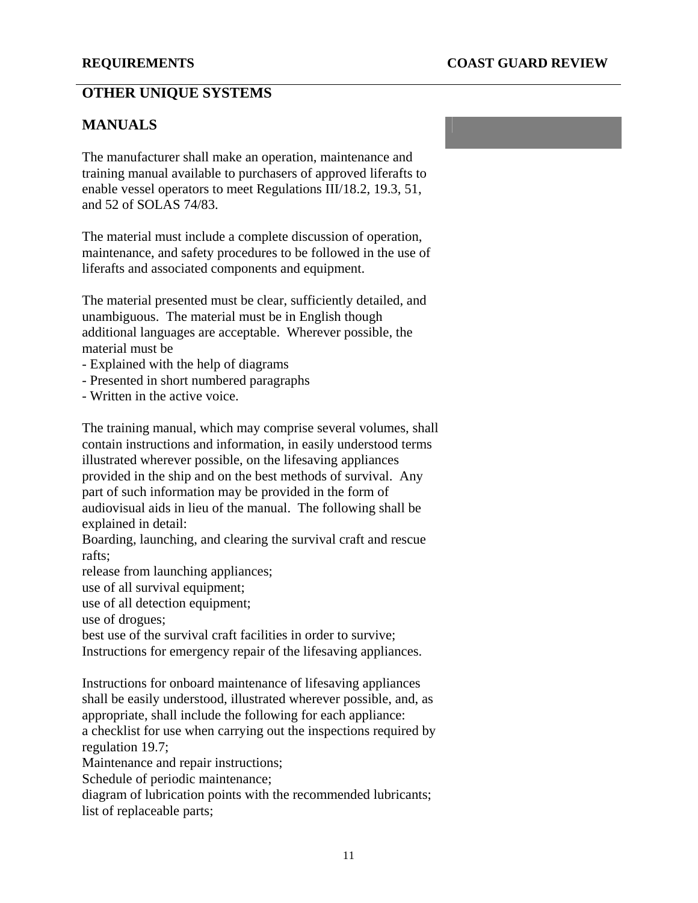## **OTHER UNIQUE SYSTEMS**

## **MANUALS**

The manufacturer shall make an operation, maintenance and training manual available to purchasers of approved liferafts to enable vessel operators to meet Regulations III/18.2, 19.3, 51, and 52 of SOLAS 74/83.

The material must include a complete discussion of operation, maintenance, and safety procedures to be followed in the use of liferafts and associated components and equipment.

The material presented must be clear, sufficiently detailed, and unambiguous. The material must be in English though additional languages are acceptable. Wherever possible, the material must be

- Explained with the help of diagrams
- Presented in short numbered paragraphs
- Written in the active voice.

The training manual, which may comprise several volumes, shall contain instructions and information, in easily understood terms illustrated wherever possible, on the lifesaving appliances provided in the ship and on the best methods of survival. Any part of such information may be provided in the form of audiovisual aids in lieu of the manual. The following shall be explained in detail:

Boarding, launching, and clearing the survival craft and rescue rafts;

release from launching appliances;

use of all survival equipment;

use of all detection equipment;

use of drogues;

best use of the survival craft facilities in order to survive;

Instructions for emergency repair of the lifesaving appliances.

Instructions for onboard maintenance of lifesaving appliances shall be easily understood, illustrated wherever possible, and, as appropriate, shall include the following for each appliance: a checklist for use when carrying out the inspections required by regulation 19.7;

Maintenance and repair instructions;

Schedule of periodic maintenance;

diagram of lubrication points with the recommended lubricants; list of replaceable parts;